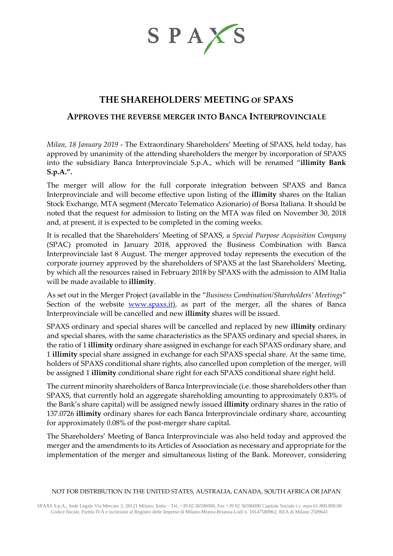

# **THE SHAREHOLDERS' MEETING OF SPAXS**

# **APPROVES THE REVERSE MERGER INTO BANCA INTERPROVINCIALE**

*Milan, 18 January 2019* - The Extraordinary Shareholders' Meeting of SPAXS, held today, has approved by unanimity of the attending shareholders the merger by incorporation of SPAXS into the subsidiary Banca Interprovinciale S.p.A., which will be renamed "**illimity Bank S.p.A.".**

The merger will allow for the full corporate integration between SPAXS and Banca Interprovinciale and will become effective upon listing of the **illimity** shares on the Italian Stock Exchange, MTA segment (Mercato Telematico Azionario) of Borsa Italiana. It should be noted that the request for admission to listing on the MTA was filed on November 30, 2018 and, at present, it is expected to be completed in the coming weeks.

It is recalled that the Shareholders' Meeting of SPAXS, a *Special Purpose Acquisition Company* (SPAC) promoted in January 2018, approved the Business Combination with Banca Interprovinciale last 8 August. The merger approved today represents the execution of the corporate journey approved by the shareholders of SPAXS at the last Shareholders' Meeting, by which all the resources raised in February 2018 by SPAXS with the admission to AIM Italia will be made available to **illimity**.

As set out in the Merger Project (available in the "*Business Combination/Shareholders' Meetings*" Section of the website **www.spaxs.it**), as part of the merger, all the shares of Banca Interprovinciale will be cancelled and new **illimity** shares will be issued.

SPAXS ordinary and special shares will be cancelled and replaced by new **illimity** ordinary and special shares, with the same characteristics as the SPAXS ordinary and special shares, in the ratio of 1 **illimity** ordinary share assigned in exchange for each SPAXS ordinary share, and 1 **illimity** special share assigned in exchange for each SPAXS special share. At the same time, holders of SPAXS conditional share rights, also cancelled upon completion of the merger, will be assigned 1 **illimity** conditional share right for each SPAXS conditional share right held.

The current minority shareholders of Banca Interprovinciale (i.e. those shareholders other than SPAXS, that currently hold an aggregate shareholding amounting to approximately 0.83% of the Bank's share capital) will be assigned newly issued **illimity** ordinary shares in the ratio of 137.0726 **illimity** ordinary shares for each Banca Interprovinciale ordinary share, accounting for approximately 0.08% of the post-merger share capital.

The Shareholders' Meeting of Banca Interprovinciale was also held today and approved the merger and the amendments to its Articles of Association as necessary and appropriate for the implementation of the merger and simultaneous listing of the Bank. Moreover, considering

### NOT FOR DISTRIBUTION IN THE UNITED STATES, AUSTRALIA, CANADA, SOUTH AFRICA OR JAPAN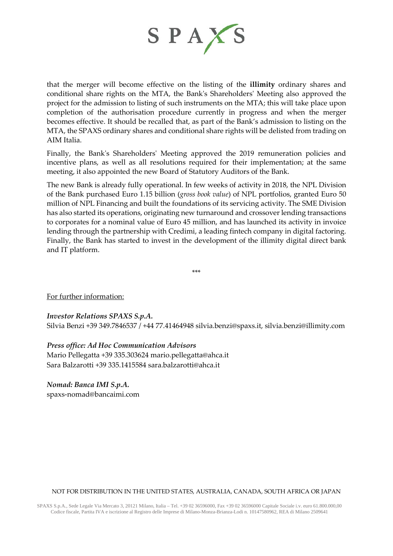

that the merger will become effective on the listing of the **illimity** ordinary shares and conditional share rights on the MTA, the Bank's Shareholders' Meeting also approved the project for the admission to listing of such instruments on the MTA; this will take place upon completion of the authorisation procedure currently in progress and when the merger becomes effective. It should be recalled that, as part of the Bank's admission to listing on the MTA, the SPAXS ordinary shares and conditional share rights will be delisted from trading on AIM Italia.

Finally, the Bank's Shareholders' Meeting approved the 2019 remuneration policies and incentive plans, as well as all resolutions required for their implementation; at the same meeting, it also appointed the new Board of Statutory Auditors of the Bank.

The new Bank is already fully operational. In few weeks of activity in 2018, the NPL Division of the Bank purchased Euro 1.15 billion (*gross book value*) of NPL portfolios, granted Euro 50 million of NPL Financing and built the foundations of its servicing activity. The SME Division has also started its operations, originating new turnaround and crossover lending transactions to corporates for a nominal value of Euro 45 million, and has launched its activity in invoice lending through the partnership with Credimi, a leading fintech company in digital factoring. Finally, the Bank has started to invest in the development of the illimity digital direct bank and IT platform.

\*\*\*

For further information:

## *Investor Relations SPAXS S.p.A.*

Silvia Benzi +39 349.7846537 / +44 77.41464948 silvia.benzi@spaxs.it, [silvia.benzi@illimity.com](mailto:silvia.benzi@illimity.it)

# *Press office: Ad Hoc Communication Advisors*

Mario Pellegatta +39 335.303624 [mario.pellegatta@ahca.it](mailto:mario.pellegatta@ahca.it) Sara Balzarotti +39 335.1415584 [sara.balzarotti@ahca.it](mailto:sara.balzarotti@ahca.it)

*Nomad: Banca IMI S.p.A.*

spaxs-nomad@bancaimi.com

### NOT FOR DISTRIBUTION IN THE UNITED STATES, AUSTRALIA, CANADA, SOUTH AFRICA OR JAPAN

SPAXS S.p.A., Sede Legale Via Mercato 3, 20121 Milano, Italia – Tel. +39 02 36596000, Fax +39 02 36596000 Capitale Sociale i.v. euro 61.800.000,00 Codice fiscale, Partita IVA e iscrizione al Registro delle Imprese di Milano-Monza-Brianza-Lodi n. 10147580962, REA di Milano 2509641